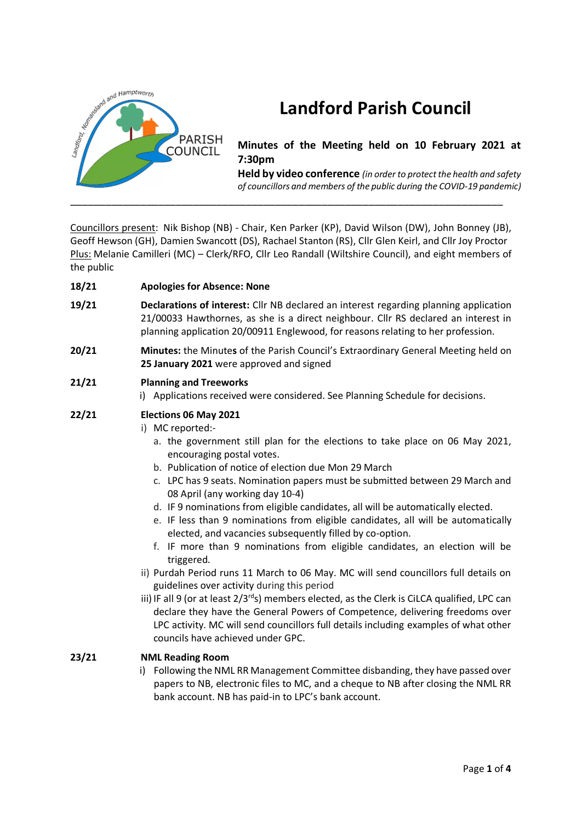

# **Landford Parish Council**

# **Minutes of the Meeting held on 10 February 2021 at 7:30pm**

**Held by video conference** *(in order to protect the health and safety of councillors and members of the public during the COVID-19 pandemic)* 

Councillors present: Nik Bishop (NB) - Chair, Ken Parker (KP), David Wilson (DW), John Bonney (JB), Geoff Hewson (GH), Damien Swancott (DS), Rachael Stanton (RS), Cllr Glen Keirl, and Cllr Joy Proctor Plus: Melanie Camilleri (MC) – Clerk/RFO, Cllr Leo Randall (Wiltshire Council), and eight members of the public

**18/21 Apologies for Absence: None**

- **19/21 Declarations of interest:** Cllr NB declared an interest regarding planning application 21/00033 Hawthornes, as she is a direct neighbour. Cllr RS declared an interest in planning application 20/00911 Englewood, for reasons relating to her profession.
- **20/21 Minutes:** the Minutes of the Parish Council's Extraordinary General Meeting held on **25 January 2021** were approved and signed

## **21/21 Planning and Treeworks**

i) Applications received were considered. See Planning Schedule for decisions.

## **22/21 Elections 06 May 2021**

- i) MC reported:
	- a. the government still plan for the elections to take place on 06 May 2021, encouraging postal votes.
	- b. Publication of notice of election due Mon 29 March
	- c. LPC has 9 seats. Nomination papers must be submitted between 29 March and 08 April (any working day 10-4)
	- d. IF 9 nominations from eligible candidates, all will be automatically elected.
	- e. IF less than 9 nominations from eligible candidates, all will be automatically elected, and vacancies subsequently filled by co-option.
	- f. IF more than 9 nominations from eligible candidates, an election will be triggered.
- ii) Purdah Period runs 11 March to 06 May. MC will send councillors full details on guidelines over activity during this period
- iii) IF all 9 (or at least  $2/3^{rd}$ s) members elected, as the Clerk is CiLCA qualified, LPC can declare they have the General Powers of Competence, delivering freedoms over LPC activity. MC will send councillors full details including examples of what other councils have achieved under GPC.

#### **23/21 NML Reading Room**

i) Following the NML RR Management Committee disbanding, they have passed over papers to NB, electronic files to MC, and a cheque to NB after closing the NML RR bank account. NB has paid-in to LPC's bank account.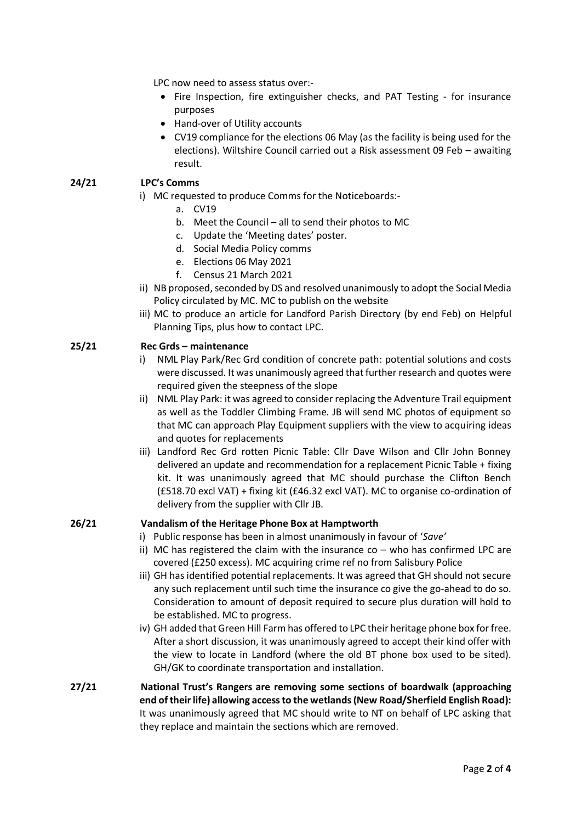LPC now need to assess status over:-

- Fire Inspection, fire extinguisher checks, and PAT Testing for insurance purposes
- Hand-over of Utility accounts
- CV19 compliance for the elections 06 May (as the facility is being used for the elections). Wiltshire Council carried out a Risk assessment 09 Feb – awaiting result.

#### **24/21 LPC's Comms**

- i) MC requested to produce Comms for the Noticeboards:
	- a. CV19
	- b. Meet the Council all to send their photos to MC
	- c. Update the 'Meeting dates' poster.
	- d. Social Media Policy comms
	- e. Elections 06 May 2021
	- f. Census 21 March 2021
- ii) NB proposed, seconded by DS and resolved unanimously to adopt the Social Media Policy circulated by MC. MC to publish on the website
- iii) MC to produce an article for Landford Parish Directory (by end Feb) on Helpful Planning Tips, plus how to contact LPC.

#### **25/21 Rec Grds – maintenance**

- i) NML Play Park/Rec Grd condition of concrete path: potential solutions and costs were discussed. It was unanimously agreed that further research and quotes were required given the steepness of the slope
- ii) NML Play Park: it was agreed to consider replacing the Adventure Trail equipment as well as the Toddler Climbing Frame. JB will send MC photos of equipment so that MC can approach Play Equipment suppliers with the view to acquiring ideas and quotes for replacements
- iii) Landford Rec Grd rotten Picnic Table: Cllr Dave Wilson and Cllr John Bonney delivered an update and recommendation for a replacement Picnic Table + fixing kit. It was unanimously agreed that MC should purchase the Clifton Bench (£518.70 excl VAT) + fixing kit (£46.32 excl VAT). MC to organise co-ordination of delivery from the supplier with Cllr JB.

#### **26/21 Vandalism of the Heritage Phone Box at Hamptworth**

- i) Public response has been in almost unanimously in favour of '*Save'*
- ii) MC has registered the claim with the insurance co who has confirmed LPC are covered (£250 excess). MC acquiring crime ref no from Salisbury Police
- iii) GH has identified potential replacements. It was agreed that GH should not secure any such replacement until such time the insurance co give the go-ahead to do so. Consideration to amount of deposit required to secure plus duration will hold to be established. MC to progress.
- iv) GH added that Green Hill Farm has offered to LPC their heritage phone box for free. After a short discussion, it was unanimously agreed to accept their kind offer with the view to locate in Landford (where the old BT phone box used to be sited). GH/GK to coordinate transportation and installation.
- **27/21 National Trust's Rangers are removing some sections of boardwalk (approaching end of their life) allowing access to the wetlands (New Road/Sherfield English Road):** It was unanimously agreed that MC should write to NT on behalf of LPC asking that they replace and maintain the sections which are removed.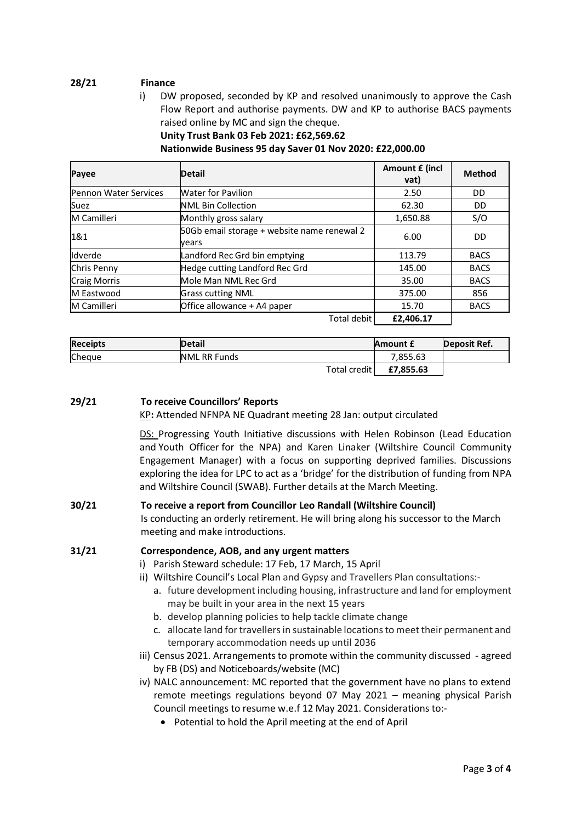## **28/21 Finance**

i) DW proposed, seconded by KP and resolved unanimously to approve the Cash Flow Report and authorise payments. DW and KP to authorise BACS payments raised online by MC and sign the cheque.

**Unity Trust Bank 03 Feb 2021: £62,569.62**

**Nationwide Business 95 day Saver 01 Nov 2020: £22,000.00**

| Payee                        | <b>Detail</b>                                        | Amount £ (incl<br>vat) | <b>Method</b> |
|------------------------------|------------------------------------------------------|------------------------|---------------|
| <b>Pennon Water Services</b> | <b>Water for Pavilion</b>                            | 2.50                   | DD.           |
| Suez                         | <b>NML Bin Collection</b>                            | 62.30                  | DD            |
| <b>M</b> Camilleri           | Monthly gross salary                                 | 1,650.88               | S/O           |
| 1&1                          | 50Gb email storage + website name renewal 2<br>vears | 6.00                   | DD            |
| Idverde                      | Landford Rec Grd bin emptying                        | 113.79                 | <b>BACS</b>   |
| Chris Penny                  | Hedge cutting Landford Rec Grd                       | 145.00                 | <b>BACS</b>   |
| <b>Craig Morris</b>          | Mole Man NML Rec Grd                                 | 35.00                  | <b>BACS</b>   |
| M Eastwood                   | <b>Grass cutting NML</b>                             | 375.00                 | 856           |
| M Camilleri                  | Office allowance + A4 paper                          | 15.70                  | <b>BACS</b>   |
|                              | Total debit                                          | £2,406.17              |               |

| <b>Receipts</b> | <b>Detail</b>       | Amount £  | Deposit Ref. |
|-----------------|---------------------|-----------|--------------|
| Cheque          | <b>NML RR Funds</b> | 7.855.63  |              |
|                 | Total credit        | £7,855.63 |              |

#### **29/21 To receive Councillors' Reports**

KP**:** Attended NFNPA NE Quadrant meeting 28 Jan: output circulated

DS: Progressing Youth Initiative discussions with Helen Robinson (Lead Education and Youth Officer for the NPA) and Karen Linaker (Wiltshire Council Community Engagement Manager) with a focus on supporting deprived families. Discussions exploring the idea for LPC to act as a 'bridge' for the distribution of funding from NPA and Wiltshire Council (SWAB). Further details at the March Meeting.

#### **30/21 To receive a report from Councillor Leo Randall (Wiltshire Council)**

Is conducting an orderly retirement. He will bring along his successor to the March meeting and make introductions.

#### **31/21 Correspondence, AOB, and any urgent matters**

- i) Parish Steward schedule: 17 Feb, 17 March, 15 April
- ii) Wiltshire Council's Local Plan and Gypsy and Travellers Plan consultations:
	- a. future development including housing, infrastructure and land for employment may be built in your area in the next 15 years
	- b. develop planning policies to help tackle climate change
	- c. allocate land for travellers in sustainable locations to meet their permanent and temporary accommodation needs up until 2036
- iii) Census 2021. Arrangements to promote within the community discussed agreed by FB (DS) and Noticeboards/website (MC)
- iv) NALC announcement: MC reported that the government have no plans to extend remote meetings regulations beyond 07 May 2021 – meaning physical Parish Council meetings to resume w.e.f 12 May 2021. Considerations to:-
	- Potential to hold the April meeting at the end of April